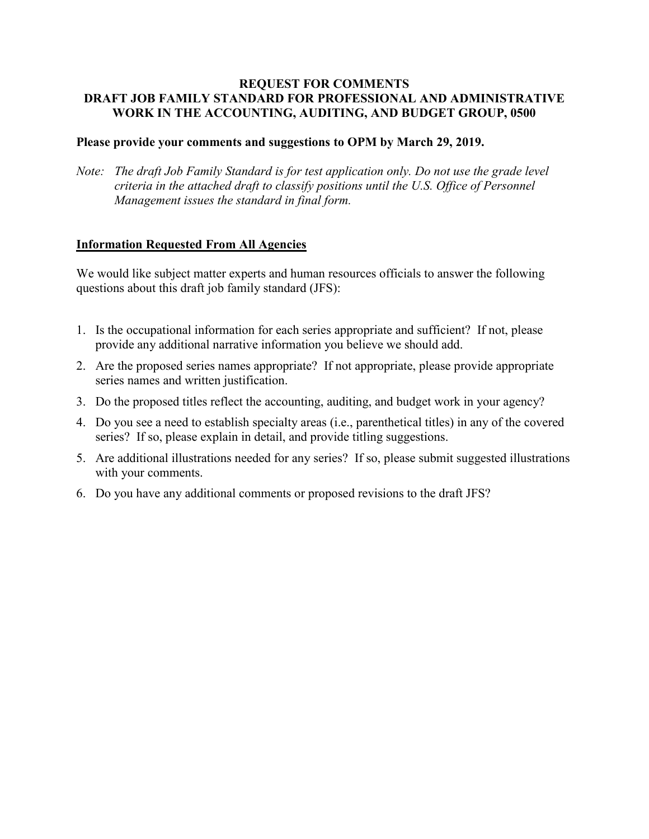### **REQUEST FOR COMMENTS DRAFT JOB FAMILY STANDARD FOR PROFESSIONAL AND ADMINISTRATIVE WORK IN THE ACCOUNTING, AUDITING, AND BUDGET GROUP, 0500**

## **Please provide your comments and suggestions to OPM by March 29, 2019.**

*Note: The draft Job Family Standard is for test application only. Do not use the grade level criteria in the attached draft to classify positions until the U.S. Office of Personnel Management issues the standard in final form.* 

## **Information Requested From All Agencies**

We would like subject matter experts and human resources officials to answer the following questions about this draft job family standard (JFS):

- 1. Is the occupational information for each series appropriate and sufficient? If not, please provide any additional narrative information you believe we should add.
- 2. Are the proposed series names appropriate? If not appropriate, please provide appropriate series names and written justification.
- 3. Do the proposed titles reflect the accounting, auditing, and budget work in your agency?
- 4. Do you see a need to establish specialty areas (i.e., parenthetical titles) in any of the covered series? If so, please explain in detail, and provide titling suggestions.
- 5. Are additional illustrations needed for any series? If so, please submit suggested illustrations with your comments.
- 6. Do you have any additional comments or proposed revisions to the draft JFS?